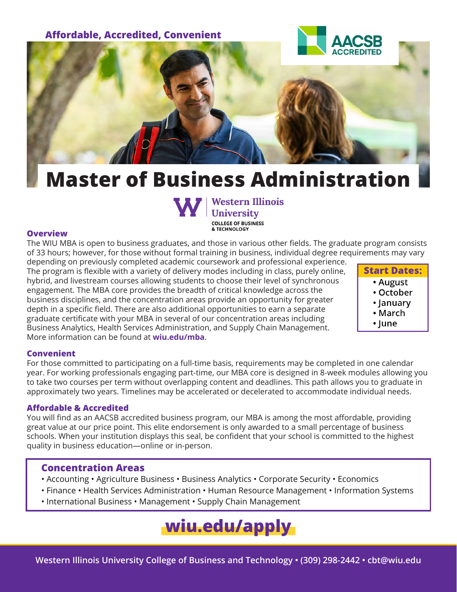

# **Master of Business Administration**



### **Overview**

The WIU MBA is open to business graduates, and those in various other fields. The graduate program consists of 33 hours; however, for those without formal training in business, individual degree requirements may vary

depending on previously completed academic coursework and professional experience. The program is flexible with a variety of delivery modes including in class, purely online, hybrid, and livestream courses allowing students to choose their level of synchronous engagement. The MBA core provides the breadth of critical knowledge across the business disciplines, and the concentration areas provide an opportunity for greater depth in a specific field. There are also additional opportunities to earn a separate graduate certificate with your MBA in several of our concentration areas including Business Analytics, Health Services Administration, and Supply Chain Management. More information can be found at **wiu.edu/mba**.

**Start Dates:** • August • October • January • March • lune

### **Convenient**

For those committed to participating on a full-time basis, requirements may be completed in one calendar year. For working professionals engaging part-time, our MBA core is designed in 8-week modules allowing you to take two courses per term without overlapping content and deadlines. This path allows you to graduate in approximately two years. Timelines may be accelerated or decelerated to accommodate individual needs.

#### **Affordable & Accredited**

You will find as an AACSB accredited business program, our MBA is among the most affordable, providing great value at our price point. This elite endorsement is only awarded to a small percentage of business schools. When your institution displays this seal, be confident that your school is committed to the highest quality in business education—online or in-person.

### **Concentration Areas**

- Accounting Agriculture Business Business Analytics Corporate Security Economics
- Finance Health Services Administration Human Resource Management Information Systems
- International Business Management Supply Chain Management